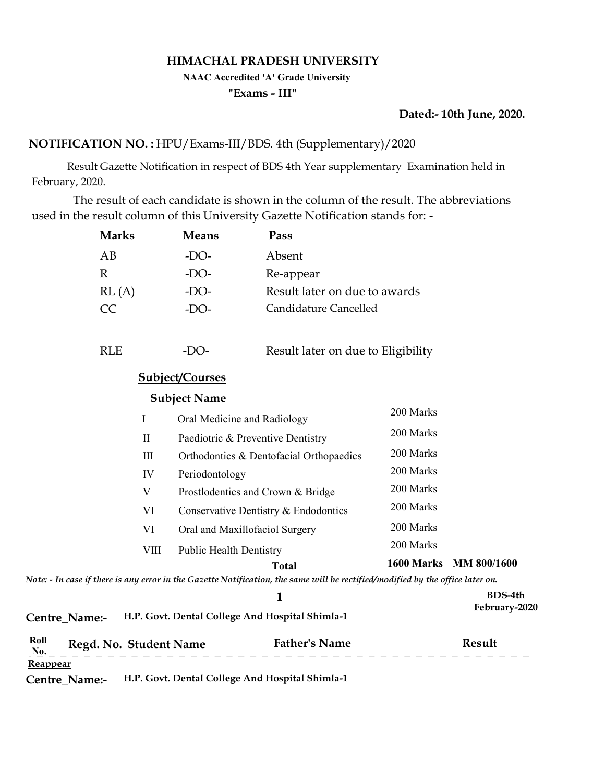#### HIMACHAL PRADESH UNIVERSITY

#### NAAC Accredited 'A' Grade University

#### "Exams - III"

## Dated:- 10th June, 2020.

# NOTIFICATION NO. : HPU/Exams-III/BDS. 4th (Supplementary)/2020

 Result Gazette Notification in respect of BDS 4th Year supplementary Examination held in February, 2020.

 The result of each candidate is shown in the column of the result. The abbreviations used in the result column of this University Gazette Notification stands for: -

| AB<br>$-DO-$<br>Absent<br>$\mathbb{R}$<br>$-DO-$<br>Re-appear<br>Result later on due to awards<br>RL(A)<br>$-DO-$<br><b>Candidature Cancelled</b><br>CC<br>$-DO-$<br><b>RLE</b><br>$-DO-$<br>Result later on due to Eligibility<br>Subject/Courses<br><b>Subject Name</b> |
|---------------------------------------------------------------------------------------------------------------------------------------------------------------------------------------------------------------------------------------------------------------------------|
|                                                                                                                                                                                                                                                                           |
|                                                                                                                                                                                                                                                                           |
|                                                                                                                                                                                                                                                                           |
|                                                                                                                                                                                                                                                                           |
|                                                                                                                                                                                                                                                                           |
|                                                                                                                                                                                                                                                                           |
|                                                                                                                                                                                                                                                                           |
| 200 Marks<br>$\mathbf I$<br>Oral Medicine and Radiology                                                                                                                                                                                                                   |
| 200 Marks<br>Paediotric & Preventive Dentistry<br>$\mathbf{I}$                                                                                                                                                                                                            |
| 200 Marks<br>$\rm III$<br>Orthodontics & Dentofacial Orthopaedics                                                                                                                                                                                                         |
| 200 Marks<br>IV<br>Periodontology                                                                                                                                                                                                                                         |
| 200 Marks<br>$\mathbf V$<br>Prostlodentics and Crown & Bridge                                                                                                                                                                                                             |
| 200 Marks<br>VI<br>Conservative Dentistry & Endodontics                                                                                                                                                                                                                   |
| 200 Marks<br><b>VI</b><br>Oral and Maxillofaciol Surgery                                                                                                                                                                                                                  |
| 200 Marks<br><b>VIII</b><br><b>Public Health Dentistry</b>                                                                                                                                                                                                                |
| 1600 Marks MM 800/1600<br><b>Total</b>                                                                                                                                                                                                                                    |
| Note: - In case if there is any error in the Gazette Notification, the same will be rectified/modified by the office later on.                                                                                                                                            |
| <b>BDS-4th</b><br>$\mathbf{1}$                                                                                                                                                                                                                                            |
| February-2020<br>H.P. Govt. Dental College And Hospital Shimla-1<br>Centre_Name:-                                                                                                                                                                                         |
| Roll<br><b>Father's Name</b><br>Result<br>Regd. No. Student Name<br>No.                                                                                                                                                                                                   |
| Reappear                                                                                                                                                                                                                                                                  |
| H.P. Govt. Dental College And Hospital Shimla-1<br>Centre_Name:-                                                                                                                                                                                                          |
|                                                                                                                                                                                                                                                                           |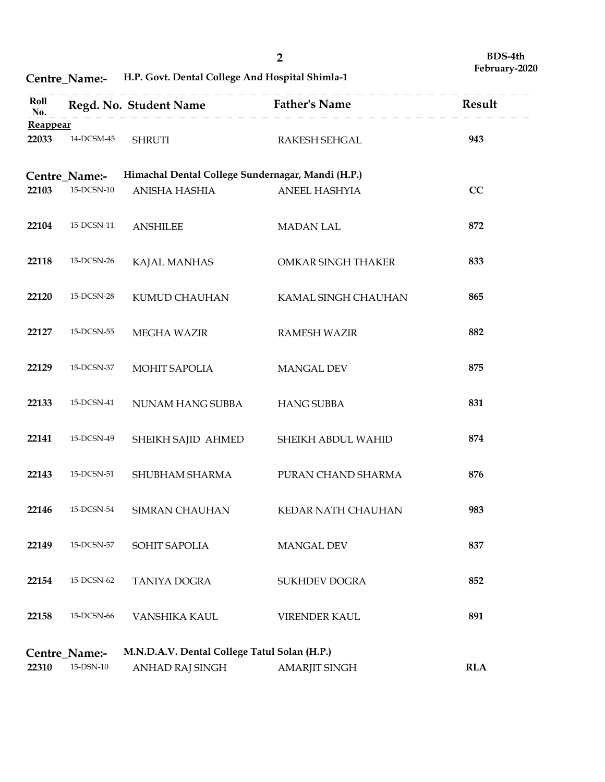|                   |                   |                                                   | $\overline{2}$       | BDS-4th<br>February-2020 |
|-------------------|-------------------|---------------------------------------------------|----------------------|--------------------------|
|                   | Centre_Name:-     | H.P. Govt. Dental College And Hospital Shimla-1   |                      |                          |
| Roll<br>No.       |                   | Regd. No. Student Name                            | <b>Father's Name</b> | Result                   |
| Reappear<br>22033 | 14-DCSM-45        | <b>SHRUTI</b>                                     | RAKESH SEHGAL        | 943                      |
|                   | Centre_Name:-     | Himachal Dental College Sundernagar, Mandi (H.P.) |                      |                          |
| 22103             | $15$ -DCSN- $10$  | ANISHA HASHIA                                     | ANEEL HASHYIA        | CC                       |
| 22104             | 15-DCSN-11        | <b>ANSHILEE</b>                                   | <b>MADAN LAL</b>     | 872                      |
| 22118             | $15$ -DCSN-26     | KAJAL MANHAS                                      | OMKAR SINGH THAKER   | 833                      |
| 22120             | 15-DCSN-28        | KUMUD CHAUHAN                                     | KAMAL SINGH CHAUHAN  | 865                      |
| 22127             | 15-DCSN-55        | MEGHA WAZIR                                       | <b>RAMESH WAZIR</b>  | 882                      |
| 22129             | 15-DCSN-37        | MOHIT SAPOLIA                                     | MANGAL DEV           | 875                      |
| 22133             | 15-DCSN-41        | NUNAM HANG SUBBA                                  | <b>HANG SUBBA</b>    | 831                      |
| 22141             | 15-DCSN-49        | SHEIKH SAJID AHMED                                | SHEIKH ABDUL WAHID   | 874                      |
| 22143             | 15-DCSN-51        | SHUBHAM SHARMA                                    | PURAN CHAND SHARMA   | 876                      |
| 22146             | 15-DCSN-54        | SIMRAN CHAUHAN                                    | KEDAR NATH CHAUHAN   | 983                      |
| 22149             | 15-DCSN-57        | SOHIT SAPOLIA                                     | MANGAL DEV           | 837                      |
| 22154             | 15-DCSN-62        | TANIYA DOGRA                                      | SUKHDEV DOGRA        | 852                      |
| 22158             | 15-DCSN-66        | VANSHIKA KAUL                                     | VIRENDER KAUL        | 891                      |
|                   | Centre_Name:-     | M.N.D.A.V. Dental College Tatul Solan (H.P.)      |                      |                          |
| 22310             | $15$ -DSN- $10\,$ | ANHAD RAJ SINGH                                   | <b>AMARJIT SINGH</b> | <b>RLA</b>               |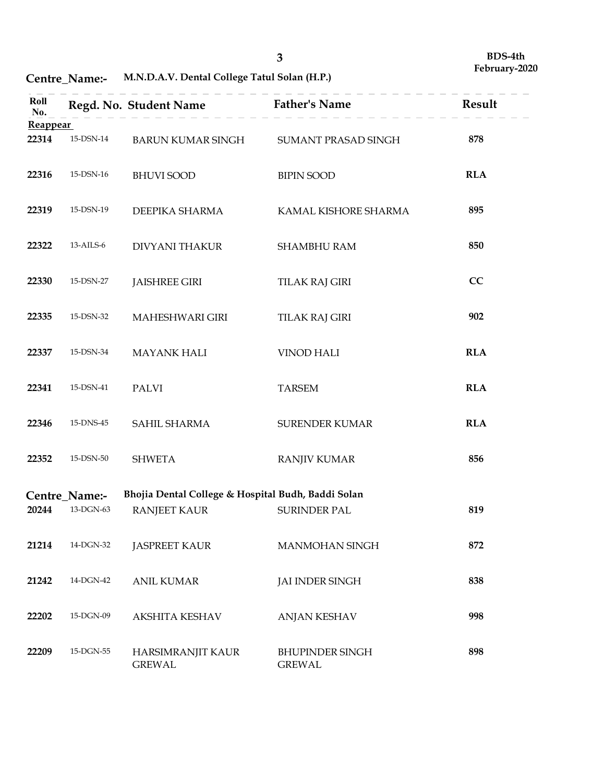Centre\_Name:- M.N.D.A.V. Dental College Tatul Solan (H.P.)

|                   |                                      |                                                    | $\mathbf{3}$                            | BDS-4th<br>February-2020 |
|-------------------|--------------------------------------|----------------------------------------------------|-----------------------------------------|--------------------------|
|                   | Centre_Name:-                        | M.N.D.A.V. Dental College Tatul Solan (H.P.)       |                                         |                          |
| Roll<br>No.       |                                      | Regd. No. Student Name                             | <b>Father's Name</b>                    | Result                   |
| Reappear<br>22314 | 15-DSN-14                            | <b>BARUN KUMAR SINGH</b>                           | SUMANT PRASAD SINGH                     | 878                      |
| 22316             | 15-DSN-16                            | <b>BHUVI SOOD</b>                                  | <b>BIPIN SOOD</b>                       | <b>RLA</b>               |
| 22319             | 15-DSN-19                            | DEEPIKA SHARMA                                     | KAMAL KISHORE SHARMA                    | 895                      |
| 22322             | 13-AILS-6                            | <b>DIVYANI THAKUR</b>                              | SHAMBHU RAM                             | 850                      |
| 22330             | 15-DSN-27                            | <b>JAISHREE GIRI</b>                               | <b>TILAK RAJ GIRI</b>                   | CC                       |
| 22335             | 15-DSN-32                            | MAHESHWARI GIRI                                    | <b>TILAK RAJ GIRI</b>                   | 902                      |
| 22337             | 15-DSN-34                            | <b>MAYANK HALI</b>                                 | VINOD HALI                              | RLA                      |
| 22341             | 15-DSN-41                            | PALVI                                              | <b>TARSEM</b>                           | RLA                      |
| 22346             | 15-DNS-45                            | SAHIL SHARMA                                       | <b>SURENDER KUMAR</b>                   | RLA                      |
| 22352             | $15$ -DSN-50                         | <b>SHWETA</b>                                      | <b>RANJIV KUMAR</b>                     | 856                      |
|                   | Centre_Name:-                        | Bhojia Dental College & Hospital Budh, Baddi Solan |                                         |                          |
| 20244             | $13\mbox{-} \text{DGN-}63$           | <b>RANJEET KAUR</b>                                | SURINDER PAL                            | 819                      |
| 21214             | $14\mbox{-} \mathrm{DGN}\mbox{-} 32$ | <b>JASPREET KAUR</b>                               | MANMOHAN SINGH                          | 872                      |
| 21242             | $14\mbox{-} \mathrm{DGN-}42$         | <b>ANIL KUMAR</b>                                  | <b>JAI INDER SINGH</b>                  | 838                      |
| 22202             | $15\mbox{-}\text{DGN-09}$            | <b>AKSHITA KESHAV</b>                              | <b>ANJAN KESHAV</b>                     | 998                      |
| 22209             | $15\mbox{-} \mathrm{DGN}\mbox{-} 55$ | HARSIMRANJIT KAUR<br><b>GREWAL</b>                 | <b>BHUPINDER SINGH</b><br><b>GREWAL</b> | 898                      |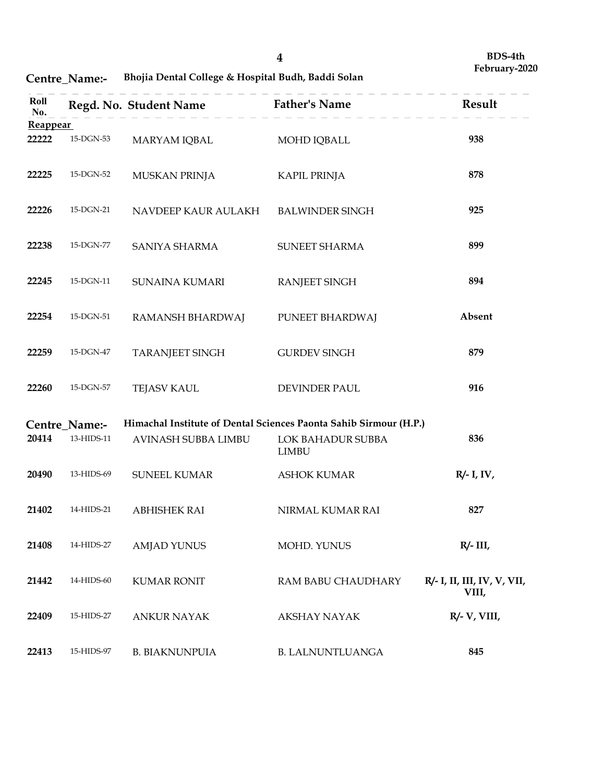|                   |                                     |                                                    | $\boldsymbol{4}$                                                                                                        | BDS-4th                              |
|-------------------|-------------------------------------|----------------------------------------------------|-------------------------------------------------------------------------------------------------------------------------|--------------------------------------|
|                   | Centre_Name:-                       | Bhojia Dental College & Hospital Budh, Baddi Solan |                                                                                                                         | February-2020                        |
| Roll<br>No.       |                                     | Regd. No. Student Name                             | <b>Father's Name</b>                                                                                                    | Result                               |
| Reappear<br>22222 | 15-DGN-53                           | MARYAM IQBAL                                       | MOHD IQBALL                                                                                                             | 938                                  |
| 22225             | 15-DGN-52                           | MUSKAN PRINJA                                      | <b>KAPIL PRINJA</b>                                                                                                     | 878                                  |
| 22226             | 15-DGN-21                           | NAVDEEP KAUR AULAKH                                | <b>BALWINDER SINGH</b>                                                                                                  | 925                                  |
| 22238             | 15-DGN-77                           | SANIYA SHARMA                                      | SUNEET SHARMA                                                                                                           | 899                                  |
| 22245             | 15-DGN-11                           | SUNAINA KUMARI                                     | <b>RANJEET SINGH</b>                                                                                                    | 894                                  |
| 22254<br>22259    | 15-DGN-51<br>15-DGN-47              | RAMANSH BHARDWAJ<br><b>TARANJEET SINGH</b>         | PUNEET BHARDWAJ<br><b>GURDEV SINGH</b>                                                                                  | Absent<br>879                        |
| 22260             | 15-DGN-57                           | <b>TEJASV KAUL</b>                                 | DEVINDER PAUL                                                                                                           | 916                                  |
| 20414             | Centre_Name:-<br>$13$ -HIDS-11 $\,$ | AVINASH SUBBA LIMBU                                | Himachal Institute of Dental Sciences Paonta Sahib Sirmour (H.P.)<br>LOK BAHADUR SUBBA<br>$\ensuremath{\mathrm{LIMBU}}$ | 836                                  |
| 20490             | 13-HIDS-69                          | SUNEEL KUMAR                                       | <b>ASHOK KUMAR</b>                                                                                                      | $R/- I$ , IV,                        |
| 21402             | 14-HIDS-21                          | <b>ABHISHEK RAI</b>                                | NIRMAL KUMAR RAI                                                                                                        | 827                                  |
| 21408             | 14-HIDS-27                          | <b>AMJAD YUNUS</b>                                 | MOHD. YUNUS                                                                                                             | $R/- III$ ,                          |
| 21442             | 14-HIDS-60                          | <b>KUMAR RONIT</b>                                 | RAM BABU CHAUDHARY                                                                                                      | R/- I, II, III, IV, V, VII,<br>VIII, |
| 22409             | 15-HIDS-27                          | ANKUR NAYAK                                        | AKSHAY NAYAK                                                                                                            | R/- V, VIII,                         |
| 22413             | 15-HIDS-97                          | <b>B. BIAKNUNPUIA</b>                              | <b>B. LALNUNTLUANGA</b>                                                                                                 | 845                                  |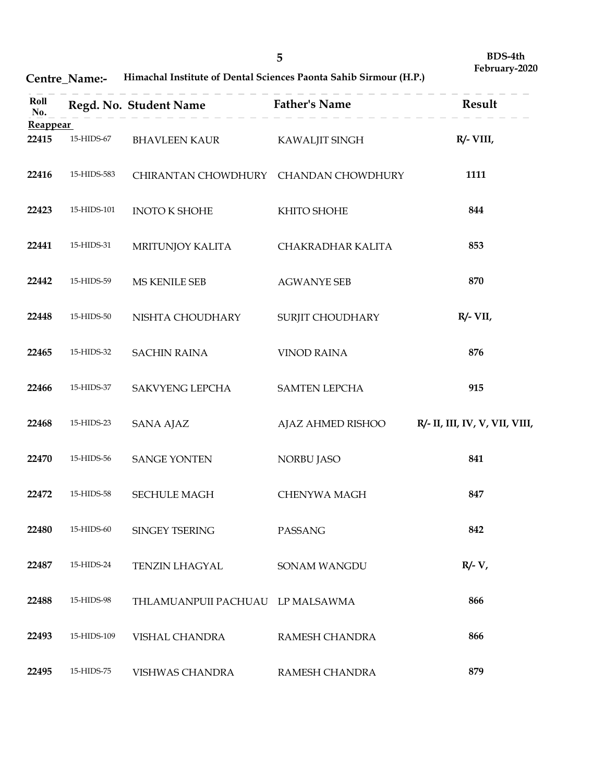| Centre Name:- | Himachal Institute of Dental Sciences Paonta Sahib Sirmour (H.P.) |  |
|---------------|-------------------------------------------------------------------|--|
|---------------|-------------------------------------------------------------------|--|

|                          | Centre_Name:- | Himachal Institute of Dental Sciences Paonta Sahib Sirmour (H.P.) | $\overline{5}$       | BDS-4th<br>February-2020       |
|--------------------------|---------------|-------------------------------------------------------------------|----------------------|--------------------------------|
| Roll<br>No.              |               | Regd. No. Student Name                                            | <b>Father's Name</b> | Result                         |
| <b>Reappear</b><br>22415 | 15-HIDS-67    | <b>BHAVLEEN KAUR</b>                                              | KAWALJIT SINGH       | R/- VIII,                      |
| 22416                    | 15-HIDS-583   | CHIRANTAN CHOWDHURY CHANDAN CHOWDHURY                             |                      | 1111                           |
| 22423                    | 15-HIDS-101   | <b>INOTO K SHOHE</b>                                              | KHITO SHOHE          | 844                            |
| 22441                    | 15-HIDS-31    | <b>MRITUNJOY KALITA</b>                                           | CHAKRADHAR KALITA    | 853                            |
| 22442                    | 15-HIDS-59    | MS KENILE SEB                                                     | <b>AGWANYE SEB</b>   | 870                            |
| 22448                    | 15-HIDS-50    | NISHTA CHOUDHARY                                                  | SURJIT CHOUDHARY     | $R/- VII,$                     |
| 22465                    | 15-HIDS-32    | <b>SACHIN RAINA</b>                                               | VINOD RAINA          | 876                            |
| 22466                    | 15-HIDS-37    | SAKVYENG LEPCHA                                                   | <b>SAMTEN LEPCHA</b> | 915                            |
| 22468                    | $15-HIDS-23$  | SANA AJAZ                                                         | AJAZ AHMED RISHOO    | R/- II, III, IV, V, VII, VIII, |
| 22470                    | 15-HIDS-56    | SANGE YONTEN                                                      | NORBU JASO           | 841                            |
| 22472                    | 15-HIDS-58    | SECHULE MAGH                                                      | CHENYWA MAGH         | 847                            |
| 22480                    | $15-HIDS-60$  | SINGEY TSERING                                                    | PASSANG              | 842                            |
| 22487                    | 15-HIDS-24    | TENZIN LHAGYAL                                                    | SONAM WANGDU         | $R/- V$ ,                      |
| 22488                    | 15-HIDS-98    | THLAMUANPUII PACHUAU LP MALSAWMA                                  |                      | 866                            |
| 22493                    | 15-HIDS-109   | VISHAL CHANDRA                                                    | RAMESH CHANDRA       | 866                            |
| 22495                    | $15-HIDS-75$  | VISHWAS CHANDRA                                                   | RAMESH CHANDRA       | 879                            |